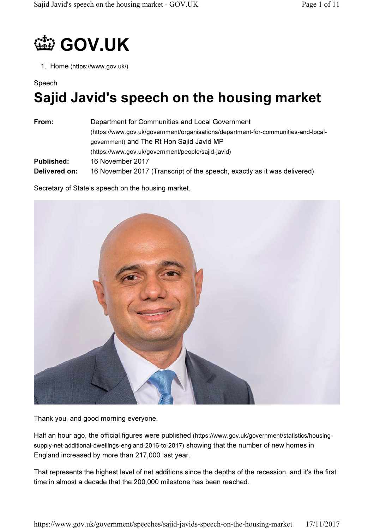# **1999 GOV.UK**

1. Home (https://www.gov.uk/)

### Speech

## Sajid Javid's speech on the housing market

| From:             | Department for Communities and Local Government                                    |
|-------------------|------------------------------------------------------------------------------------|
|                   | (https://www.gov.uk/government/organisations/department-for-communities-and-local- |
|                   | government) and The Rt Hon Sajid Javid MP                                          |
|                   | (https://www.gov.uk/government/people/sajid-javid)                                 |
| <b>Published:</b> | 16 November 2017                                                                   |
| Delivered on:     | 16 November 2017 (Transcript of the speech, exactly as it was delivered)           |

Secretary of State's speech on the housing market.



Thank you, and good morning everyone.

Half an hour ago, the official figures were published (https://www.gov.uk/government/statistics/housingsupply-net-additional-dwellings-england-2016-to-2017) showing that the number of new homes in England increased by more than 217,000 last year.

That represents the highest level of net additions since the depths of the recession, and it's the first time in almost a decade that the 200,000 milestone has been reached.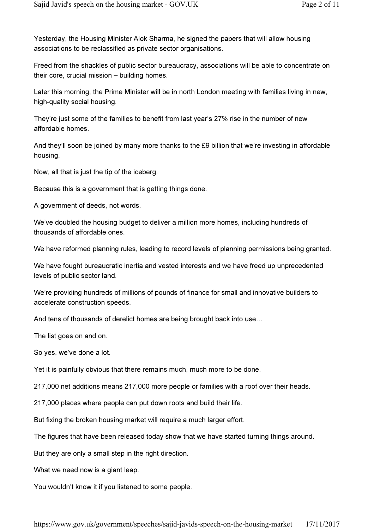Yesterday, the Housing Minister Alok Sharma, he signed the papers that will allow housing associations to be reclassified as private sector organisations.

Freed from the shackles of public sector bureaucracy, associations will be able to concentrate on their core, crucial mission – building homes.

Later this morning, the Prime Minister will be in north London meeting with families living in new, high-quality social housing.

They're just some of the families to benefit from last year's 27% rise in the number of new affordable homes.

And they'll soon be joined by many more thanks to the £9 billion that we're investing in affordable housing.

Now, all that is just the tip of the iceberg.

Because this is a government that is getting things done.

A government of deeds, not words.

We've doubled the housing budget to deliver a million more homes, including hundreds of thousands of affordable ones.

We have reformed planning rules, leading to record levels of planning permissions being granted.

We have fought bureaucratic inertia and vested interests and we have freed up unprecedented levels of public sector land.

We're providing hundreds of millions of pounds of finance for small and innovative builders to accelerate construction speeds.

And tens of thousands of derelict homes are being brought back into use…

The list goes on and on.

So yes, we've done a lot.

Yet it is painfully obvious that there remains much, much more to be done.

217,000 net additions means 217,000 more people or families with a roof over their heads.

217,000 places where people can put down roots and build their life.

But fixing the broken housing market will require a much larger effort.

The figures that have been released today show that we have started turning things around.

But they are only a small step in the right direction.

What we need now is a giant leap.

You wouldn't know it if you listened to some people.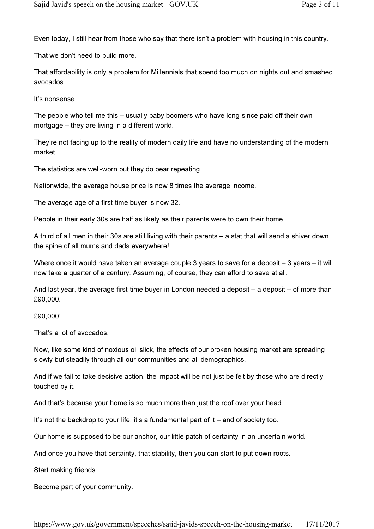Even today, I still hear from those who say that there isn't a problem with housing in this country.

That we don't need to build more.

That affordability is only a problem for Millennials that spend too much on nights out and smashed avocados.

It's nonsense.

The people who tell me this – usually baby boomers who have long-since paid off their own mortgage – they are living in a different world.

They're not facing up to the reality of modern daily life and have no understanding of the modern market.

The statistics are well-worn but they do bear repeating.

Nationwide, the average house price is now 8 times the average income.

The average age of a first-time buyer is now 32.

People in their early 30s are half as likely as their parents were to own their home.

A third of all men in their 30s are still living with their parents – a stat that will send a shiver down the spine of all mums and dads everywhere!

Where once it would have taken an average couple 3 years to save for a deposit – 3 years – it will now take a quarter of a century. Assuming, of course, they can afford to save at all.

And last year, the average first-time buyer in London needed a deposit – a deposit – of more than £90,000.

£90,000!

That's a lot of avocados.

Now, like some kind of noxious oil slick, the effects of our broken housing market are spreading slowly but steadily through all our communities and all demographics.

And if we fail to take decisive action, the impact will be not just be felt by those who are directly touched by it.

And that's because your home is so much more than just the roof over your head.

It's not the backdrop to your life, it's a fundamental part of it – and of society too.

Our home is supposed to be our anchor, our little patch of certainty in an uncertain world.

And once you have that certainty, that stability, then you can start to put down roots.

Start making friends.

Become part of your community.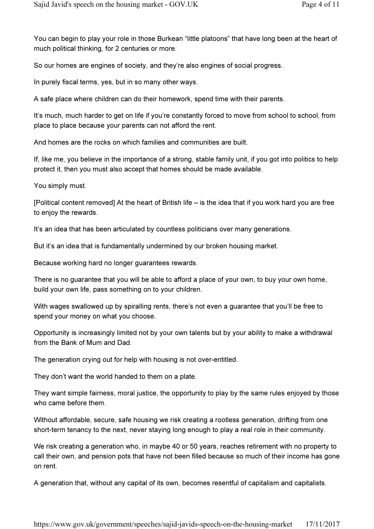You can begin to play your role in those Burkean "little platoons" that have long been at the heart of much political thinking, for 2 centuries or more.

So our homes are engines of society, and they're also engines of social progress.

In purely fiscal terms, yes, but in so many other ways.

A safe place where children can do their homework, spend time with their parents.

It's much, much harder to get on life if you're constantly forced to move from school to school, from place to place because your parents can not afford the rent.

And homes are the rocks on which families and communities are built.

If, like me, you believe in the importance of a strong, stable family unit, if you got into politics to help protect it, then you must also accept that homes should be made available.

You simply must.

[Political content removed] At the heart of British life – is the idea that if you work hard you are free to enjoy the rewards.

It's an idea that has been articulated by countless politicians over many generations.

But it's an idea that is fundamentally undermined by our broken housing market.

Because working hard no longer guarantees rewards.

There is no guarantee that you will be able to afford a place of your own, to buy your own home, build your own life, pass something on to your children.

With wages swallowed up by spiralling rents, there's not even a guarantee that you'll be free to spend your money on what you choose.

Opportunity is increasingly limited not by your own talents but by your ability to make a withdrawal from the Bank of Mum and Dad.

The generation crying out for help with housing is not over-entitled.

They don't want the world handed to them on a plate.

They want simple fairness, moral justice, the opportunity to play by the same rules enjoyed by those who came before them.

Without affordable, secure, safe housing we risk creating a rootless generation, drifting from one short-term tenancy to the next, never staying long enough to play a real role in their community.

We risk creating a generation who, in maybe 40 or 50 years, reaches retirement with no property to call their own, and pension pots that have not been filled because so much of their income has gone on rent.

A generation that, without any capital of its own, becomes resentful of capitalism and capitalists.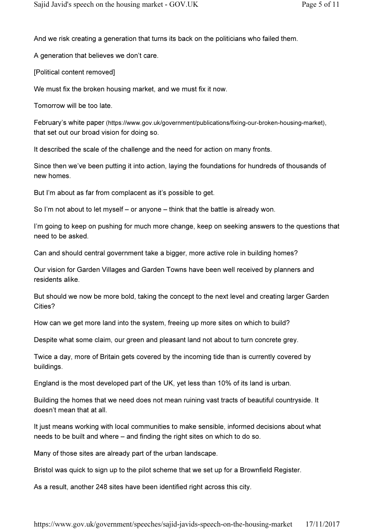And we risk creating a generation that turns its back on the politicians who failed them.

A generation that believes we don't care.

[Political content removed]

We must fix the broken housing market, and we must fix it now.

Tomorrow will be too late.

February's white paper (https://www.gov.uk/government/publications/fixing-our-broken-housing-market), that set out our broad vision for doing so.

It described the scale of the challenge and the need for action on many fronts.

Since then we've been putting it into action, laying the foundations for hundreds of thousands of new homes.

But I'm about as far from complacent as it's possible to get.

So I'm not about to let myself – or anyone – think that the battle is already won.

I'm going to keep on pushing for much more change, keep on seeking answers to the questions that need to be asked.

Can and should central government take a bigger, more active role in building homes?

Our vision for Garden Villages and Garden Towns have been well received by planners and residents alike.

But should we now be more bold, taking the concept to the next level and creating larger Garden Cities?

How can we get more land into the system, freeing up more sites on which to build?

Despite what some claim, our green and pleasant land not about to turn concrete grey.

Twice a day, more of Britain gets covered by the incoming tide than is currently covered by buildings.

England is the most developed part of the UK, yet less than 10% of its land is urban.

Building the homes that we need does not mean ruining vast tracts of beautiful countryside. It doesn't mean that at all.

It just means working with local communities to make sensible, informed decisions about what needs to be built and where – and finding the right sites on which to do so.

Many of those sites are already part of the urban landscape.

Bristol was quick to sign up to the pilot scheme that we set up for a Brownfield Register.

As a result, another 248 sites have been identified right across this city.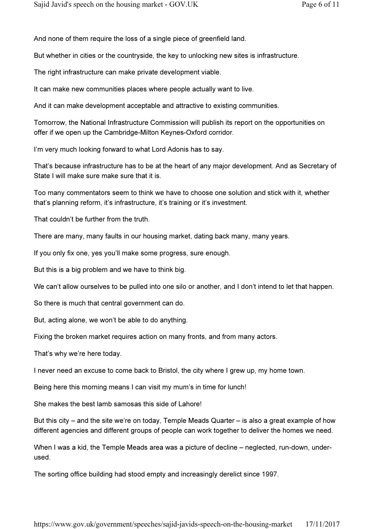And none of them require the loss of a single piece of greenfield land.

But whether in cities or the countryside, the key to unlocking new sites is infrastructure.

The right infrastructure can make private development viable.

It can make new communities places where people actually want to live.

And it can make development acceptable and attractive to existing communities.

Tomorrow, the National Infrastructure Commission will publish its report on the opportunities on offer if we open up the Cambridge-Milton Keynes-Oxford corridor.

I'm very much looking forward to what Lord Adonis has to say.

That's because infrastructure has to be at the heart of any major development. And as Secretary of State I will make sure make sure that it is.

Too many commentators seem to think we have to choose one solution and stick with it, whether that's planning reform, it's infrastructure, it's training or it's investment.

That couldn't be further from the truth.

There are many, many faults in our housing market, dating back many, many years.

If you only fix one, yes you'll make some progress, sure enough.

But this is a big problem and we have to think big.

We can't allow ourselves to be pulled into one silo or another, and I don't intend to let that happen.

So there is much that central government can do.

But, acting alone, we won't be able to do anything.

Fixing the broken market requires action on many fronts, and from many actors.

That's why we're here today.

I never need an excuse to come back to Bristol, the city where I grew up, my home town.

Being here this morning means I can visit my mum's in time for lunch!

She makes the best lamb samosas this side of Lahore!

But this city – and the site we're on today, Temple Meads Quarter – is also a great example of how different agencies and different groups of people can work together to deliver the homes we need.

When I was a kid, the Temple Meads area was a picture of decline – neglected, run-down, underused.

The sorting office building had stood empty and increasingly derelict since 1997.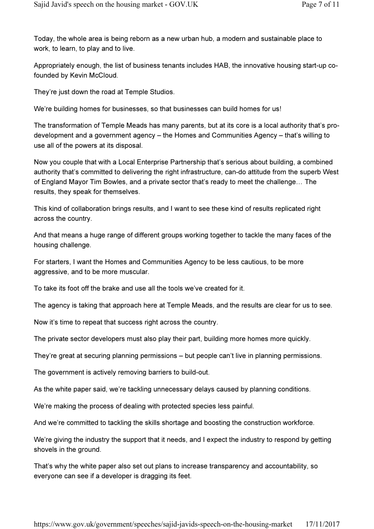Today, the whole area is being reborn as a new urban hub, a modern and sustainable place to work, to learn, to play and to live.

Appropriately enough, the list of business tenants includes HAB, the innovative housing start-up cofounded by Kevin McCloud.

They're just down the road at Temple Studios.

We're building homes for businesses, so that businesses can build homes for us!

The transformation of Temple Meads has many parents, but at its core is a local authority that's prodevelopment and a government agency – the Homes and Communities Agency – that's willing to use all of the powers at its disposal.

Now you couple that with a Local Enterprise Partnership that's serious about building, a combined authority that's committed to delivering the right infrastructure, can-do attitude from the superb West of England Mayor Tim Bowles, and a private sector that's ready to meet the challenge… The results, they speak for themselves.

This kind of collaboration brings results, and I want to see these kind of results replicated right across the country.

And that means a huge range of different groups working together to tackle the many faces of the housing challenge.

For starters, I want the Homes and Communities Agency to be less cautious, to be more aggressive, and to be more muscular.

To take its foot off the brake and use all the tools we've created for it.

The agency is taking that approach here at Temple Meads, and the results are clear for us to see.

Now it's time to repeat that success right across the country.

The private sector developers must also play their part, building more homes more quickly.

They're great at securing planning permissions – but people can't live in planning permissions.

The government is actively removing barriers to build-out.

As the white paper said, we're tackling unnecessary delays caused by planning conditions.

We're making the process of dealing with protected species less painful.

And we're committed to tackling the skills shortage and boosting the construction workforce.

We're giving the industry the support that it needs, and I expect the industry to respond by getting shovels in the ground.

That's why the white paper also set out plans to increase transparency and accountability, so everyone can see if a developer is dragging its feet.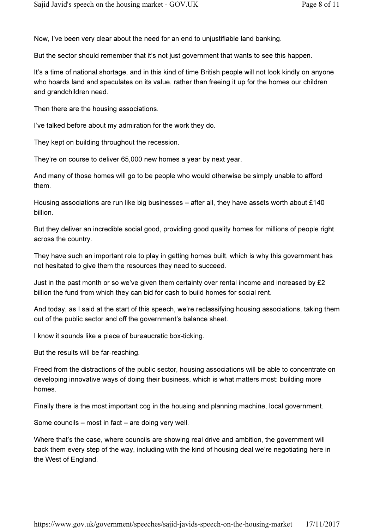Now, I've been very clear about the need for an end to unjustifiable land banking.

But the sector should remember that it's not just government that wants to see this happen.

It's a time of national shortage, and in this kind of time British people will not look kindly on anyone who hoards land and speculates on its value, rather than freeing it up for the homes our children and grandchildren need.

Then there are the housing associations.

I've talked before about my admiration for the work they do.

They kept on building throughout the recession.

They're on course to deliver 65,000 new homes a year by next year.

And many of those homes will go to be people who would otherwise be simply unable to afford them.

Housing associations are run like big businesses – after all, they have assets worth about £140 billion.

But they deliver an incredible social good, providing good quality homes for millions of people right across the country.

They have such an important role to play in getting homes built, which is why this government has not hesitated to give them the resources they need to succeed.

Just in the past month or so we've given them certainty over rental income and increased by  $£2$ billion the fund from which they can bid for cash to build homes for social rent.

And today, as I said at the start of this speech, we're reclassifying housing associations, taking them out of the public sector and off the government's balance sheet.

I know it sounds like a piece of bureaucratic box-ticking.

But the results will be far-reaching.

Freed from the distractions of the public sector, housing associations will be able to concentrate on developing innovative ways of doing their business, which is what matters most: building more homes.

Finally there is the most important cog in the housing and planning machine, local government.

Some councils – most in fact – are doing very well.

Where that's the case, where councils are showing real drive and ambition, the government will back them every step of the way, including with the kind of housing deal we're negotiating here in the West of England.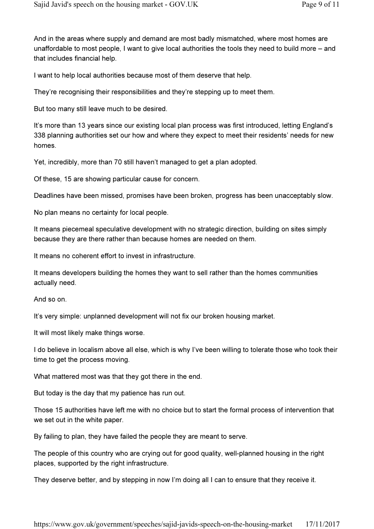And in the areas where supply and demand are most badly mismatched, where most homes are unaffordable to most people, I want to give local authorities the tools they need to build more – and that includes financial help.

I want to help local authorities because most of them deserve that help.

They're recognising their responsibilities and they're stepping up to meet them.

But too many still leave much to be desired.

It's more than 13 years since our existing local plan process was first introduced, letting England's 338 planning authorities set our how and where they expect to meet their residents' needs for new homes.

Yet, incredibly, more than 70 still haven't managed to get a plan adopted.

Of these, 15 are showing particular cause for concern.

Deadlines have been missed, promises have been broken, progress has been unacceptably slow.

No plan means no certainty for local people.

It means piecemeal speculative development with no strategic direction, building on sites simply because they are there rather than because homes are needed on them.

It means no coherent effort to invest in infrastructure.

It means developers building the homes they want to sell rather than the homes communities actually need.

And so on.

It's very simple: unplanned development will not fix our broken housing market.

It will most likely make things worse.

I do believe in localism above all else, which is why I've been willing to tolerate those who took their time to get the process moving.

What mattered most was that they got there in the end.

But today is the day that my patience has run out.

Those 15 authorities have left me with no choice but to start the formal process of intervention that we set out in the white paper.

By failing to plan, they have failed the people they are meant to serve.

The people of this country who are crying out for good quality, well-planned housing in the right places, supported by the right infrastructure.

They deserve better, and by stepping in now I'm doing all I can to ensure that they receive it.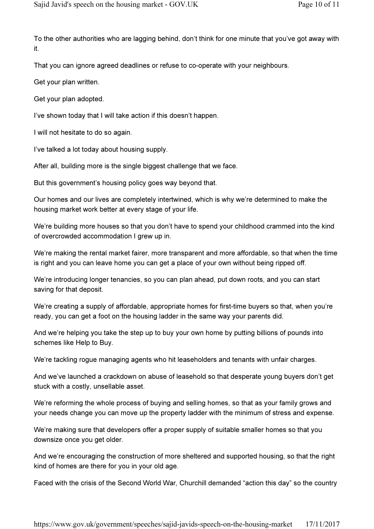To the other authorities who are lagging behind, don't think for one minute that you've got away with it.

That you can ignore agreed deadlines or refuse to co-operate with your neighbours.

Get your plan written.

Get your plan adopted.

I've shown today that I will take action if this doesn't happen.

I will not hesitate to do so again.

I've talked a lot today about housing supply.

After all, building more is the single biggest challenge that we face.

But this government's housing policy goes way beyond that.

Our homes and our lives are completely intertwined, which is why we're determined to make the housing market work better at every stage of your life.

We're building more houses so that you don't have to spend your childhood crammed into the kind of overcrowded accommodation I grew up in.

We're making the rental market fairer, more transparent and more affordable, so that when the time is right and you can leave home you can get a place of your own without being ripped off.

We're introducing longer tenancies, so you can plan ahead, put down roots, and you can start saving for that deposit.

We're creating a supply of affordable, appropriate homes for first-time buyers so that, when you're ready, you can get a foot on the housing ladder in the same way your parents did.

And we're helping you take the step up to buy your own home by putting billions of pounds into schemes like Help to Buy.

We're tackling rogue managing agents who hit leaseholders and tenants with unfair charges.

And we've launched a crackdown on abuse of leasehold so that desperate young buyers don't get stuck with a costly, unsellable asset.

We're reforming the whole process of buying and selling homes, so that as your family grows and your needs change you can move up the property ladder with the minimum of stress and expense.

We're making sure that developers offer a proper supply of suitable smaller homes so that you downsize once you get older.

And we're encouraging the construction of more sheltered and supported housing, so that the right kind of homes are there for you in your old age.

Faced with the crisis of the Second World War, Churchill demanded "action this day" so the country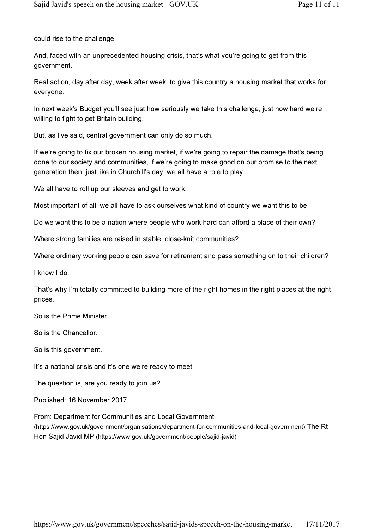could rise to the challenge.

And, faced with an unprecedented housing crisis, that's what you're going to get from this government.

Real action, day after day, week after week, to give this country a housing market that works for everyone.

In next week's Budget you'll see just how seriously we take this challenge, just how hard we're willing to fight to get Britain building.

But, as I've said, central government can only do so much.

If we're going to fix our broken housing market, if we're going to repair the damage that's being done to our society and communities, if we're going to make good on our promise to the next generation then, just like in Churchill's day, we all have a role to play.

We all have to roll up our sleeves and get to work.

Most important of all, we all have to ask ourselves what kind of country we want this to be.

Do we want this to be a nation where people who work hard can afford a place of their own?

Where strong families are raised in stable, close-knit communities?

Where ordinary working people can save for retirement and pass something on to their children?

I know I do.

That's why I'm totally committed to building more of the right homes in the right places at the right prices.

So is the Prime Minister.

So is the Chancellor.

So is this government.

It's a national crisis and it's one we're ready to meet.

The question is, are you ready to join us?

Published: 16 November 2017

From: Department for Communities and Local Government (https://www.gov.uk/government/organisations/department-for-communities-and-local-government) The Rt Hon Sajid Javid MP (https://www.gov.uk/government/people/sajid-javid)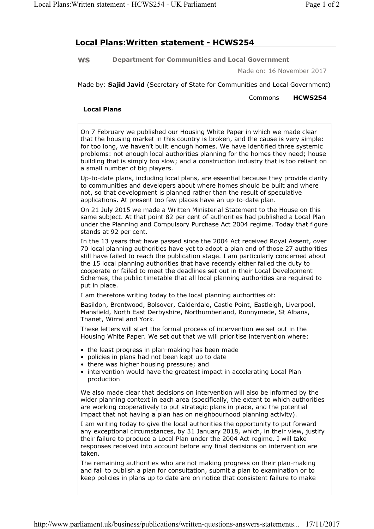### Local Plans:Written statement - HCWS254

WS Department for Communities and Local Government

Made on: 16 November 2017

Made by: Sajid Javid (Secretary of State for Communities and Local Government)

Commons HCWS254

#### Local Plans

On 7 February we published our Housing White Paper in which we made clear that the housing market in this country is broken, and the cause is very simple: for too long, we haven't built enough homes. We have identified three systemic problems: not enough local authorities planning for the homes they need; house building that is simply too slow; and a construction industry that is too reliant on a small number of big players.

Up-to-date plans, including local plans, are essential because they provide clarity to communities and developers about where homes should be built and where not, so that development is planned rather than the result of speculative applications. At present too few places have an up-to-date plan.

On 21 July 2015 we made a Written Ministerial Statement to the House on this same subject. At that point 82 per cent of authorities had published a Local Plan under the Planning and Compulsory Purchase Act 2004 regime. Today that figure stands at 92 per cent.

In the 13 years that have passed since the 2004 Act received Royal Assent, over 70 local planning authorities have yet to adopt a plan and of those 27 authorities still have failed to reach the publication stage. I am particularly concerned about the 15 local planning authorities that have recently either failed the duty to cooperate or failed to meet the deadlines set out in their Local Development Schemes, the public timetable that all local planning authorities are required to put in place.

I am therefore writing today to the local planning authorities of:

Basildon, Brentwood, Bolsover, Calderdale, Castle Point, Eastleigh, Liverpool, Mansfield, North East Derbyshire, Northumberland, Runnymede, St Albans, Thanet, Wirral and York.

These letters will start the formal process of intervention we set out in the Housing White Paper. We set out that we will prioritise intervention where:

- the least progress in plan-making has been made
- policies in plans had not been kept up to date
- there was higher housing pressure; and
- intervention would have the greatest impact in accelerating Local Plan production

We also made clear that decisions on intervention will also be informed by the wider planning context in each area (specifically, the extent to which authorities are working cooperatively to put strategic plans in place, and the potential impact that not having a plan has on neighbourhood planning activity).

I am writing today to give the local authorities the opportunity to put forward any exceptional circumstances, by 31 January 2018, which, in their view, justify their failure to produce a Local Plan under the 2004 Act regime. I will take responses received into account before any final decisions on intervention are taken.

The remaining authorities who are not making progress on their plan-making and fail to publish a plan for consultation, submit a plan to examination or to keep policies in plans up to date are on notice that consistent failure to make